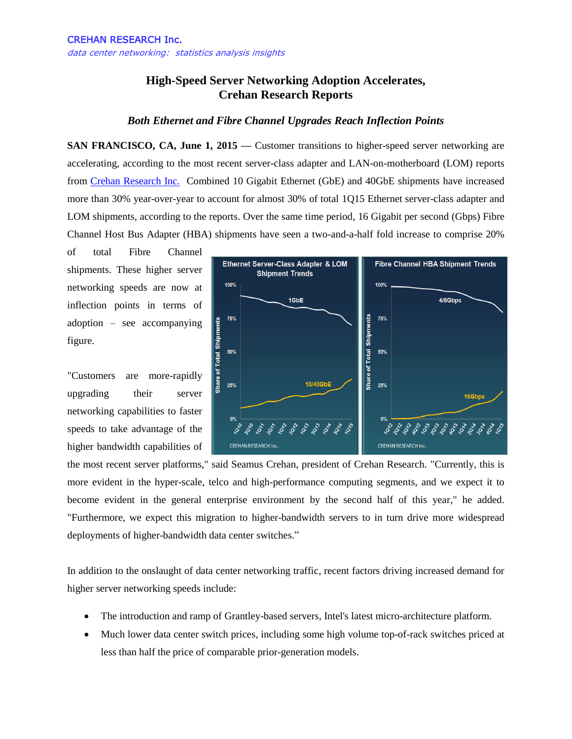## **High-Speed Server Networking Adoption Accelerates, Crehan Research Reports**

## *Both Ethernet and Fibre Channel Upgrades Reach Inflection Points*

**SAN FRANCISCO, CA, June 1, 2015 — Customer transitions to higher-speed server networking are** accelerating, according to the most recent server-class adapter and LAN-on-motherboard (LOM) reports from [Crehan Research Inc.](http://www.crehanresearch.com/) Combined 10 Gigabit Ethernet (GbE) and 40GbE shipments have increased more than 30% year-over-year to account for almost 30% of total 1Q15 Ethernet server-class adapter and LOM shipments, according to the reports. Over the same time period, 16 Gigabit per second (Gbps) Fibre Channel Host Bus Adapter (HBA) shipments have seen a two-and-a-half fold increase to comprise 20%

of total Fibre Channel shipments. These higher server networking speeds are now at inflection points in terms of adoption – see accompanying figure.

"Customers are more-rapidly upgrading their server networking capabilities to faster speeds to take advantage of the higher bandwidth capabilities of



the most recent server platforms," said Seamus Crehan, president of Crehan Research. "Currently, this is more evident in the hyper-scale, telco and high-performance computing segments, and we expect it to become evident in the general enterprise environment by the second half of this year," he added. "Furthermore, we expect this migration to higher-bandwidth servers to in turn drive more widespread deployments of higher-bandwidth data center switches."

In addition to the onslaught of data center networking traffic, recent factors driving increased demand for higher server networking speeds include:

- The introduction and ramp of Grantley-based servers, Intel's latest micro-architecture platform.
- Much lower data center switch prices, including some high volume top-of-rack switches priced at less than half the price of comparable prior-generation models.